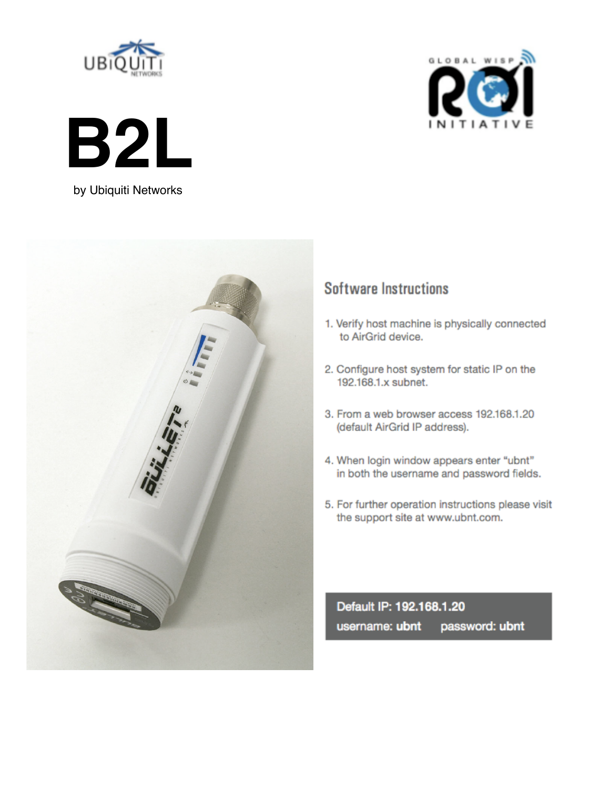





by Ubiquiti Networks



## **Software Instructions**

- 1. Verify host machine is physically connected to AirGrid device.
- 2. Configure host system for static IP on the 192.168.1 x subnet
- 3. From a web browser access 192.168.1.20 (default AirGrid IP address).
- 4. When login window appears enter "ubnt" in both the username and password fields.
- 5. For further operation instructions please visit the support site at www.ubnt.com.

Default IP: 192.168.1.20 password: ubnt username: ubnt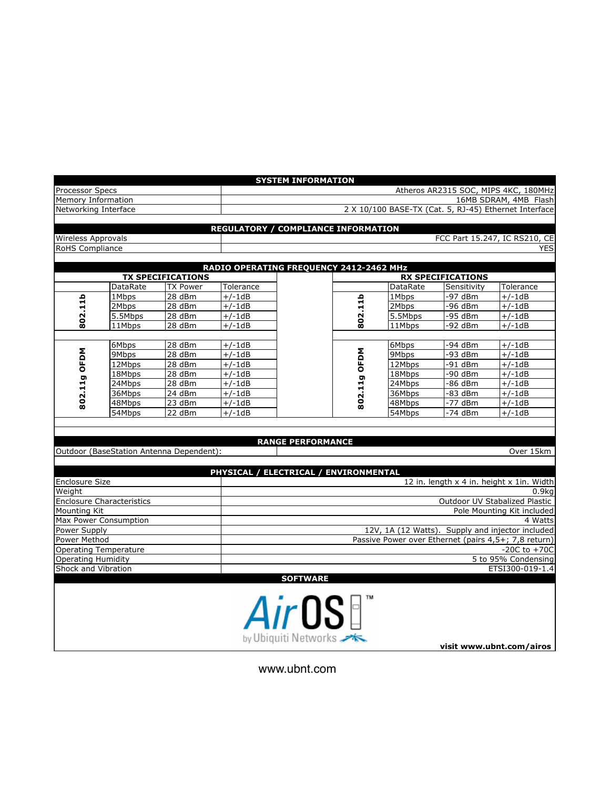|                           |                                          |                                             |                                            | <b>SYSTEM INFORMATION</b>             |              |                   |                                         |                                                       |
|---------------------------|------------------------------------------|---------------------------------------------|--------------------------------------------|---------------------------------------|--------------|-------------------|-----------------------------------------|-------------------------------------------------------|
| Processor Specs           |                                          |                                             | Atheros AR2315 SOC, MIPS 4KC, 180MHz       |                                       |              |                   |                                         |                                                       |
| Memory Information        |                                          |                                             | 16MB SDRAM, 4MB Flash                      |                                       |              |                   |                                         |                                                       |
| Networking Interface      |                                          |                                             |                                            |                                       |              |                   |                                         | 2 X 10/100 BASE-TX (Cat. 5, RJ-45) Ethernet Interface |
|                           |                                          |                                             |                                            |                                       |              |                   |                                         |                                                       |
|                           |                                          |                                             | <b>REGULATORY / COMPLIANCE INFORMATION</b> |                                       |              |                   |                                         |                                                       |
| <b>Wireless Approvals</b> |                                          |                                             |                                            |                                       |              |                   |                                         | FCC Part 15.247, IC RS210, CE                         |
| RoHS Compliance           |                                          |                                             |                                            |                                       |              |                   |                                         | <b>YES</b>                                            |
|                           |                                          |                                             |                                            |                                       |              |                   |                                         |                                                       |
|                           |                                          |                                             | RADIO OPERATING FREQUENCY 2412-2462 MHz    |                                       |              |                   |                                         |                                                       |
|                           | DataRate                                 | <b>TX SPECIFICATIONS</b><br><b>TX Power</b> |                                            |                                       |              |                   | <b>RX SPECIFICATIONS</b><br>Sensitivity |                                                       |
| 802.11b                   |                                          | 28dBm                                       | Tolerance                                  |                                       | 802.11b      | DataRate          | $-97$ dBm                               | Tolerance                                             |
|                           | 1Mbps<br>2Mbps                           | 28 dBm                                      | $+/-1dB$<br>$+/-1dB$                       |                                       |              | 1Mbps<br>2Mbps    | -96 dBm                                 | $+/-1dB$<br>$+/-1dB$                                  |
|                           |                                          | 28 dBm                                      |                                            |                                       |              |                   | -95 dBm                                 |                                                       |
|                           | 5.5Mbps                                  |                                             | $+/-1dB$                                   |                                       |              | 5.5Mbps<br>11Mbps | -92 dBm                                 | $+/-1dB$                                              |
|                           | 11Mbps                                   | 28 dBm                                      | $+/-1dB$                                   |                                       |              |                   |                                         | $+/-1dB$                                              |
| 802.11g OFDM              | 6Mbps                                    | 28 dBm                                      | $+/-1dB$                                   |                                       |              | 6Mbps             | -94 dBm                                 | $+/-1dB$                                              |
|                           | 9Mbps                                    | 28 dBm                                      | $+/-1dB$                                   |                                       |              | 9Mbps             | -93 dBm                                 | $+/-1dB$                                              |
|                           | 12Mbps                                   | 28 dBm                                      | $+/-1dB$                                   |                                       |              | 12Mbps            | $-91$ dBm                               | $+/-1dB$                                              |
|                           | 18Mbps                                   | 28 dBm                                      | $+/-1dB$                                   |                                       | 802.11g OFDM | 18Mbps            | -90 dBm                                 | $+/-1dB$                                              |
|                           | 24Mbps                                   | 28 dBm                                      | $+/-1dB$                                   |                                       |              | 24Mbps            | -86 dBm                                 | $+/-1dB$                                              |
|                           | 36Mbps                                   | 24 dBm                                      | $+/-1dB$                                   |                                       |              | 36Mbps            | -83 dBm                                 | $+/-1dB$                                              |
|                           | 48Mbps                                   | 23 dBm                                      | $+/-1dB$                                   |                                       |              | 48Mbps            | -77 dBm                                 | $+/-1dB$                                              |
|                           | 54Mbps                                   | 22 dBm                                      | $+/-1dB$                                   |                                       |              | 54Mbps            | -74 dBm                                 | $+/-1dB$                                              |
|                           | Outdoor (BaseStation Antenna Dependent): |                                             |                                            | <b>RANGE PERFORMANCE</b>              |              |                   |                                         | Over 15km                                             |
|                           |                                          |                                             | PHYSICAL / ELECTRICAL / ENVIRONMENTAL      |                                       |              |                   |                                         |                                                       |
| <b>Enclosure Size</b>     |                                          |                                             |                                            |                                       |              |                   |                                         | 12 in. length x 4 in. height x 1in. Width             |
| Weight                    |                                          |                                             |                                            |                                       |              |                   |                                         | 0.9kg                                                 |
|                           | <b>Enclosure Characteristics</b>         |                                             |                                            |                                       |              |                   |                                         | Outdoor UV Stabalized Plastic                         |
| Mounting Kit              |                                          |                                             | Pole Mounting Kit included                 |                                       |              |                   |                                         |                                                       |
|                           | Max Power Consumption                    |                                             |                                            |                                       |              |                   |                                         | 4 Watts                                               |
| Power Supply              |                                          |                                             |                                            |                                       |              |                   |                                         | 12V, 1A (12 Watts). Supply and injector included      |
| Power Method              |                                          |                                             |                                            |                                       |              |                   |                                         | Passive Power over Ethernet (pairs 4,5+; 7,8 return)  |
|                           | <b>Operating Temperature</b>             |                                             |                                            |                                       |              |                   |                                         | $-20C$ to $+70C$                                      |
| <b>Operating Humidity</b> |                                          |                                             |                                            |                                       |              |                   |                                         | 5 to 95% Condensing                                   |
| Shock and Vibration       |                                          |                                             |                                            |                                       |              |                   |                                         | ETSI300-019-1.4                                       |
|                           |                                          |                                             |                                            | <b>SOFTWARE</b>                       |              |                   |                                         |                                                       |
|                           |                                          |                                             |                                            | <i>Air</i> OS<br>by Ubiquiti Networks |              |                   |                                         |                                                       |
|                           |                                          |                                             |                                            |                                       |              |                   |                                         | visit www.ubnt.com/airos                              |

www.ubnt.com